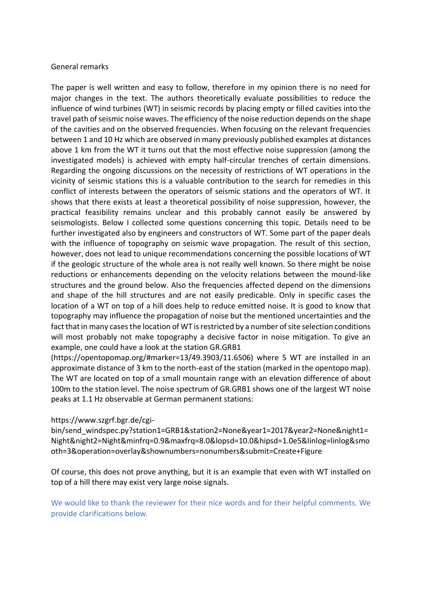## General remarks

The paper is well written and easy to follow, therefore in my opinion there is no need for major changes in the text. The authors theoretically evaluate possibilities to reduce the influence of wind turbines (WT) in seismic records by placing empty or filled cavities into the travel path of seismic noise waves. The efficiency of the noise reduction depends on the shape of the cavities and on the observed frequencies. When focusing on the relevant frequencies between 1 and 10 Hz which are observed in many previously published examples at distances above 1 km from the WT it turns out that the most effective noise suppression (among the investigated models) is achieved with empty half-circular trenches of certain dimensions. Regarding the ongoing discussions on the necessity of restrictions of WT operations in the vicinity of seismic stations this is a valuable contribution to the search for remedies in this conflict of interests between the operators of seismic stations and the operators of WT. It shows that there exists at least a theoretical possibility of noise suppression, however, the practical feasibility remains unclear and this probably cannot easily be answered by seismologists. Below I collected some questions concerning this topic. Details need to be further investigated also by engineers and constructors of WT. Some part of the paper deals with the influence of topography on seismic wave propagation. The result of this section, however, does not lead to unique recommendations concerning the possible locations of WT if the geologic structure of the whole area is not really well known. So there might be noise reductions or enhancements depending on the velocity relations between the mound-like structures and the ground below. Also the frequencies affected depend on the dimensions and shape of the hill structures and are not easily predicable. Only in specific cases the location of a WT on top of a hill does help to reduce emitted noise. It is good to know that topography may influence the propagation of noise but the mentioned uncertainties and the fact that in many cases the location of WT is restricted by a number of site selection conditions will most probably not make topography a decisive factor in noise mitigation. To give an example, one could have a look at the station GR.GRB1

(https://opentopomap.org/#marker=13/49.3903/11.6506) where 5 WT are installed in an approximate distance of 3 km to the north-east of the station (marked in the opentopo map). The WT are located on top of a small mountain range with an elevation difference of about 100m to the station level. The noise spectrum of GR.GRB1 shows one of the largest WT noise peaks at 1.1 Hz observable at German permanent stations:

## https://www.szgrf.bgr.de/cgi-

bin/send\_windspec.py?station1=GRB1&station2=None&year1=2017&year2=None&night1= Night&night2=Night&minfrq=0.9&maxfrq=8.0&lopsd=10.0&hipsd=1.0e5&linlog=linlog&smo oth=3&operation=overlay&shownumbers=nonumbers&submit=Create+Figure

Of course, this does not prove anything, but it is an example that even with WT installed on top of a hill there may exist very large noise signals.

We would like to thank the reviewer for their nice words and for their helpful comments. We provide clarifications below.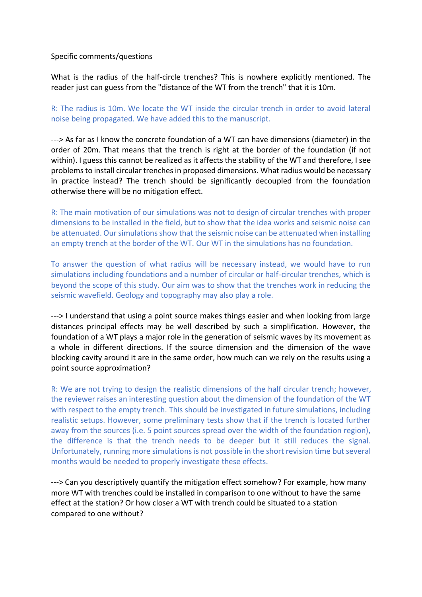## Specific comments/questions

What is the radius of the half-circle trenches? This is nowhere explicitly mentioned. The reader just can guess from the "distance of the WT from the trench" that it is 10m.

R: The radius is 10m. We locate the WT inside the circular trench in order to avoid lateral noise being propagated. We have added this to the manuscript.

---> As far as I know the concrete foundation of a WT can have dimensions (diameter) in the order of 20m. That means that the trench is right at the border of the foundation (if not within). I guess this cannot be realized as it affects the stability of the WT and therefore, I see problems to install circular trenches in proposed dimensions. What radius would be necessary in practice instead? The trench should be significantly decoupled from the foundation otherwise there will be no mitigation effect.

R: The main motivation of our simulations was not to design of circular trenches with proper dimensions to be installed in the field, but to show that the idea works and seismic noise can be attenuated. Our simulations show that the seismic noise can be attenuated when installing an empty trench at the border of the WT. Our WT in the simulations has no foundation.

To answer the question of what radius will be necessary instead, we would have to run simulations including foundations and a number of circular or half-circular trenches, which is beyond the scope of this study. Our aim was to show that the trenches work in reducing the seismic wavefield. Geology and topography may also play a role.

---> I understand that using a point source makes things easier and when looking from large distances principal effects may be well described by such a simplification. However, the foundation of a WT plays a major role in the generation of seismic waves by its movement as a whole in different directions. If the source dimension and the dimension of the wave blocking cavity around it are in the same order, how much can we rely on the results using a point source approximation?

R: We are not trying to design the realistic dimensions of the half circular trench; however, the reviewer raises an interesting question about the dimension of the foundation of the WT with respect to the empty trench. This should be investigated in future simulations, including realistic setups. However, some preliminary tests show that if the trench is located further away from the sources (i.e. 5 point sources spread over the width of the foundation region), the difference is that the trench needs to be deeper but it still reduces the signal. Unfortunately, running more simulations is not possible in the short revision time but several months would be needed to properly investigate these effects.

---> Can you descriptively quantify the mitigation effect somehow? For example, how many more WT with trenches could be installed in comparison to one without to have the same effect at the station? Or how closer a WT with trench could be situated to a station compared to one without?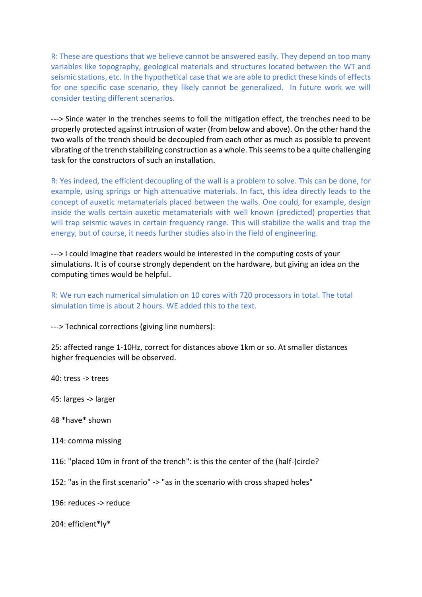R: These are questions that we believe cannot be answered easily. They depend on too many variables like topography, geological materials and structures located between the WT and seismic stations, etc. In the hypothetical case that we are able to predict these kinds of effects for one specific case scenario, they likely cannot be generalized. In future work we will consider testing different scenarios.

---> Since water in the trenches seems to foil the mitigation effect, the trenches need to be properly protected against intrusion of water (from below and above). On the other hand the two walls of the trench should be decoupled from each other as much as possible to prevent vibrating of the trench stabilizing construction as a whole. This seems to be a quite challenging task for the constructors of such an installation.

R: Yes indeed, the efficient decoupling of the wall is a problem to solve. This can be done, for example, using springs or high attenuative materials. In fact, this idea directly leads to the concept of auxetic metamaterials placed between the walls. One could, for example, design inside the walls certain auxetic metamaterials with well known (predicted) properties that will trap seismic waves in certain frequency range. This will stabilize the walls and trap the energy, but of course, it needs further studies also in the field of engineering.

---> I could imagine that readers would be interested in the computing costs of your simulations. It is of course strongly dependent on the hardware, but giving an idea on the computing times would be helpful.

R: We run each numerical simulation on 10 cores with 720 processors in total. The total simulation time is about 2 hours. WE added this to the text.

---> Technical corrections (giving line numbers):

25: affected range 1-10Hz, correct for distances above 1km or so. At smaller distances higher frequencies will be observed.

40: tress -> trees

45: larges -> larger

48 \*have\* shown

114: comma missing

116: "placed 10m in front of the trench": is this the center of the (half-)circle?

152: "as in the first scenario" -> "as in the scenario with cross shaped holes"

196: reduces -> reduce

204: efficient\*ly\*